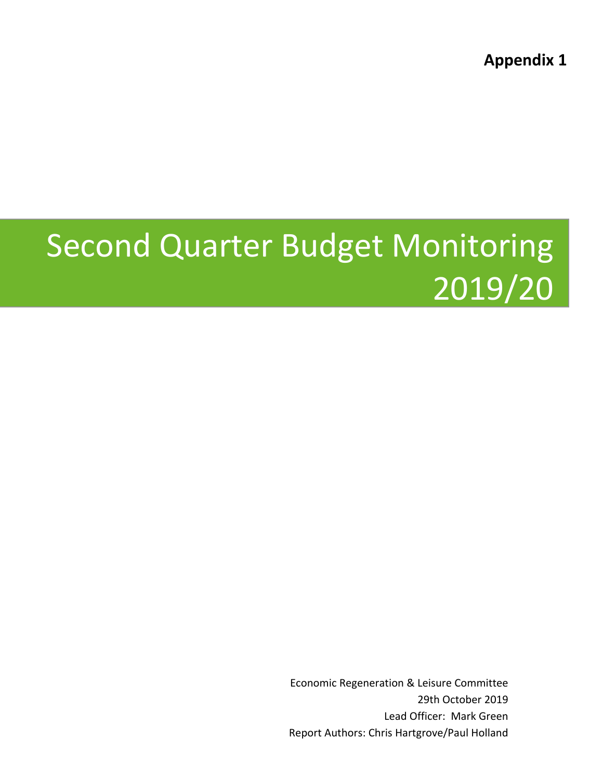**Appendix 1**

# Second Quarter Budget Monitoring 2019/20

Economic Regeneration & Leisure Committee 29th October 2019 Lead Officer: Mark Green Report Authors: Chris Hartgrove/Paul Holland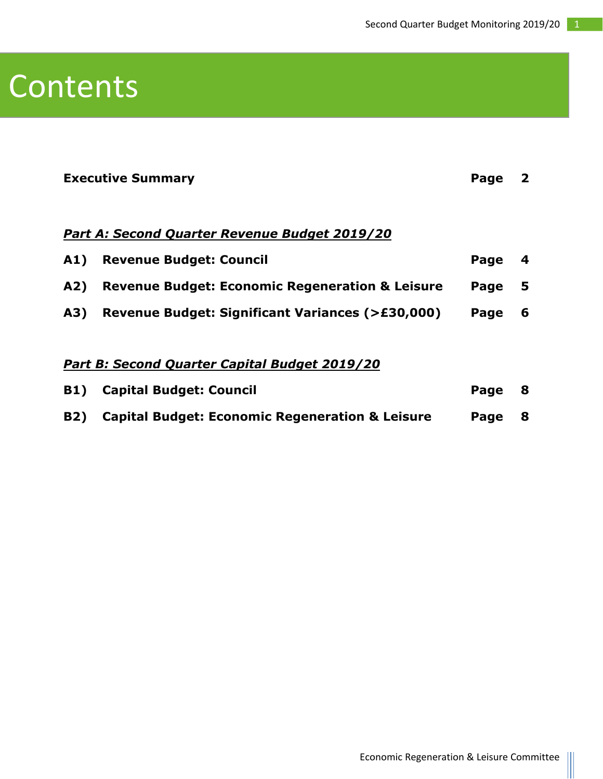### Contents

|                                               | <b>Executive Summary</b>                                   | Page | 2 |  |  |  |
|-----------------------------------------------|------------------------------------------------------------|------|---|--|--|--|
|                                               | Part A: Second Quarter Revenue Budget 2019/20              |      |   |  |  |  |
| A1)                                           | <b>Revenue Budget: Council</b>                             | Page | 4 |  |  |  |
| A2)                                           | <b>Revenue Budget: Economic Regeneration &amp; Leisure</b> | Page | 5 |  |  |  |
| A3)                                           | Revenue Budget: Significant Variances (>£30,000)           | Page | 6 |  |  |  |
|                                               |                                                            |      |   |  |  |  |
| Part B: Second Quarter Capital Budget 2019/20 |                                                            |      |   |  |  |  |
| <b>B1)</b>                                    | <b>Capital Budget: Council</b>                             | Page | 8 |  |  |  |
| <b>B2)</b>                                    | <b>Capital Budget: Economic Regeneration &amp; Leisure</b> | Page | 8 |  |  |  |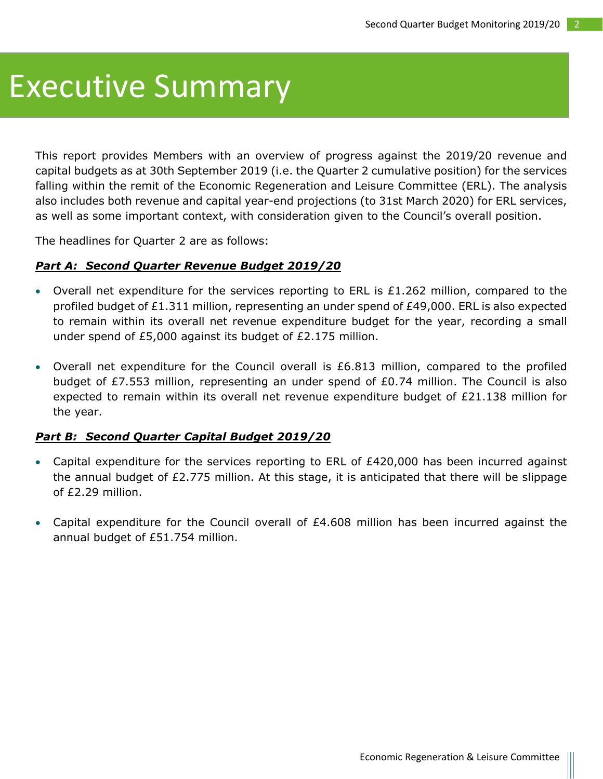### Executive Summary

This report provides Members with an overview of progress against the 2019/20 revenue and capital budgets as at 30th September 2019 (i.e. the Quarter 2 cumulative position) for the services falling within the remit of the Economic Regeneration and Leisure Committee (ERL). The analysis also includes both revenue and capital year-end projections (to 31st March 2020) for ERL services, as well as some important context, with consideration given to the Council's overall position.

The headlines for Quarter 2 are as follows:

#### *Part A: Second Quarter Revenue Budget 2019/20*

- Overall net expenditure for the services reporting to ERL is  $£1.262$  million, compared to the profiled budget of £1.311 million, representing an under spend of £49,000. ERL is also expected to remain within its overall net revenue expenditure budget for the year, recording a small under spend of £5,000 against its budget of £2.175 million.
- Overall net expenditure for the Council overall is £6.813 million, compared to the profiled budget of £7.553 million, representing an under spend of £0.74 million. The Council is also expected to remain within its overall net revenue expenditure budget of £21.138 million for the year.

#### *Part B: Second Quarter Capital Budget 2019/20*

- Capital expenditure for the services reporting to ERL of  $E420,000$  has been incurred against the annual budget of £2.775 million. At this stage, it is anticipated that there will be slippage of £2.29 million.
- Capital expenditure for the Council overall of £4.608 million has been incurred against the annual budget of £51.754 million.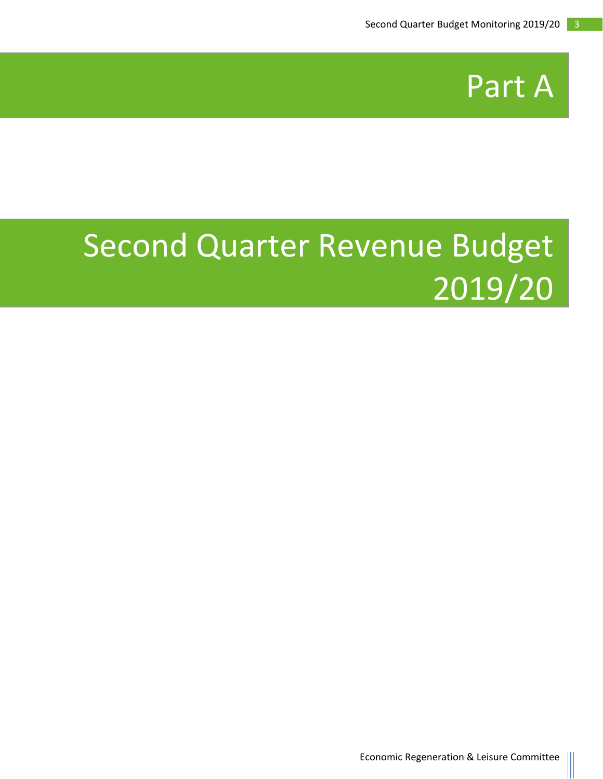

### Second Quarter Revenue Budget 2019/20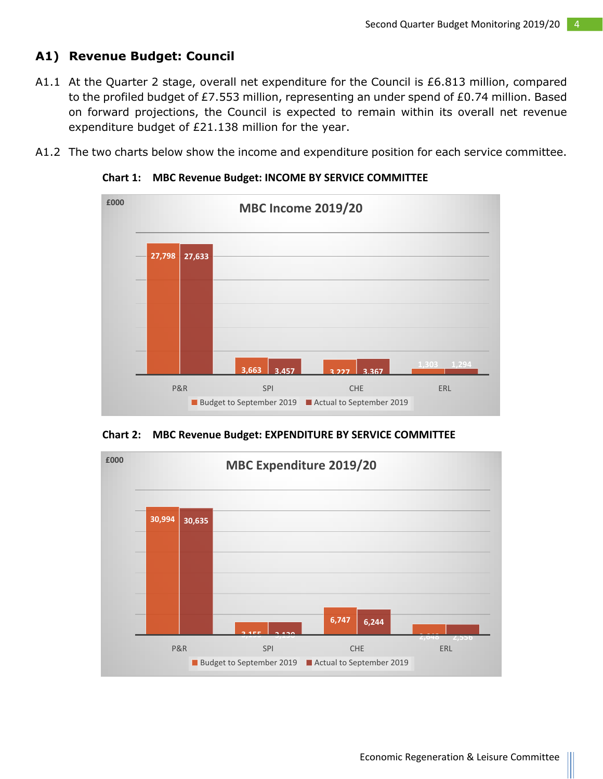#### **A1) Revenue Budget: Council**

- A1.1 At the Quarter 2 stage, overall net expenditure for the Council is £6.813 million, compared to the profiled budget of £7.553 million, representing an under spend of £0.74 million. Based on forward projections, the Council is expected to remain within its overall net revenue expenditure budget of £21.138 million for the year.
- A1.2 The two charts below show the income and expenditure position for each service committee.



 **Chart 1: MBC Revenue Budget: INCOME BY SERVICE COMMITTEE**

**Chart 2: MBC Revenue Budget: EXPENDITURE BY SERVICE COMMITTEE**

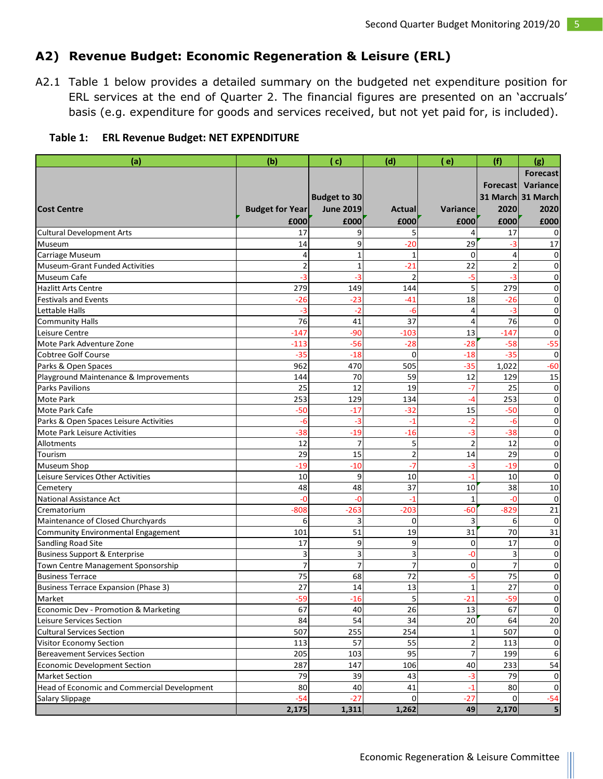#### **A2) Revenue Budget: Economic Regeneration & Leisure (ERL)**

A2.1 Table 1 below provides a detailed summary on the budgeted net expenditure position for ERL services at the end of Quarter 2. The financial figures are presented on an 'accruals' basis (e.g. expenditure for goods and services received, but not yet paid for, is included).

| Table 1: ERL Revenue Budget: NET EXPENDITURE |
|----------------------------------------------|
|----------------------------------------------|

| <b>Forecast</b><br><b>Budget to 30</b>                                                                          | <b>Forecast</b><br>Variance<br>31 March 31 March<br>2020 |
|-----------------------------------------------------------------------------------------------------------------|----------------------------------------------------------|
|                                                                                                                 |                                                          |
|                                                                                                                 |                                                          |
|                                                                                                                 |                                                          |
| <b>June 2019</b><br>2020<br><b>Cost Centre</b><br><b>Budget for Year</b><br>Variance<br><b>Actual</b>           |                                                          |
| £000<br>£000<br>£000<br>£000<br>£000                                                                            | £000                                                     |
| <b>Cultural Development Arts</b><br>17<br>9<br>5<br>17<br>4                                                     | $\Omega$                                                 |
| 9<br>$-20$<br>29<br>Museum<br>14<br>-3                                                                          | 17                                                       |
| $\overline{4}$<br>1<br>$\mathbf 1$<br>0<br>Carriage Museum<br>4                                                 | 0                                                        |
| $-21$<br>22<br>$\overline{2}$<br>$\overline{2}$<br>$\mathbf{1}$<br><b>Museum-Grant Funded Activities</b>        | $\Omega$                                                 |
| -3<br>$\overline{2}$<br>$-3$<br>Museum Cafe<br>-5<br>-3                                                         | $\Omega$                                                 |
| 279<br>5<br>279<br>149<br>144<br><b>Hazlitt Arts Centre</b>                                                     | $\Omega$                                                 |
| $-23$<br>$-26$<br><b>Festivals and Events</b><br>$-26$<br>$-41$<br>18                                           | $\Omega$                                                 |
| -3<br>$-2$<br>Lettable Halls<br>-6<br>4<br>-3                                                                   | $\Omega$                                                 |
| 76<br>37<br>76<br>41<br><b>Community Halls</b><br>4                                                             | $\Omega$                                                 |
| $-90$<br>$-103$<br>13<br>$-147$<br>Leisure Centre<br>$-147$                                                     | $\Omega$                                                 |
| $-56$<br>$-28$<br>$-28$<br>$-58$<br>Mote Park Adventure Zone<br>$-113$                                          | $-55$                                                    |
| $-35$<br><b>Cobtree Golf Course</b><br>$-35$<br>$-18$<br>$\mathbf 0$<br>$-18$                                   | 0                                                        |
| 962<br>470<br>505<br>$-35$<br>1,022<br>Parks & Open Spaces                                                      | -60                                                      |
| 70<br>59<br>129<br>Playground Maintenance & Improvements<br>144<br>12                                           | 15                                                       |
| 25<br>12<br>$-7$<br><b>Parks Pavilions</b><br>19<br>25                                                          | 0                                                        |
| 253<br>253<br>Mote Park<br>129<br>134<br>$-4$                                                                   | $\Omega$                                                 |
| $-50$<br>$-17$<br>$-32$<br>$-50$<br>Mote Park Cafe<br>15                                                        | 0                                                        |
| $-3$<br>$-2$<br>Parks & Open Spaces Leisure Activities<br>-6<br>$-1$<br>$-6$                                    | $\Omega$                                                 |
| $-38$<br>$-19$<br>$-16$<br>$-3$<br>$-38$<br>Mote Park Leisure Activities                                        | 0                                                        |
| $\overline{7}$<br>$\overline{2}$<br>5<br>12<br>12<br>Allotments                                                 | 0                                                        |
| $\overline{2}$<br>29<br>15<br>29<br>14<br>Tourism                                                               | $\Omega$                                                 |
| $-7$<br>$-3$<br>$-19$<br>$-19$<br>$-10$<br>Museum Shop                                                          | $\Omega$                                                 |
| 10<br>9<br>Leisure Services Other Activities<br>10<br>$-1$<br>10                                                | $\Omega$                                                 |
| 48<br>48<br>37<br>38<br>Cemetery<br>10                                                                          | 10                                                       |
| National Assistance Act<br>-0<br>-0<br>$-1$<br>$-0$<br>1                                                        | $\Omega$                                                 |
| $-829$<br>$-203$<br>$-808$<br>$-263$<br>-60<br>Crematorium                                                      | 21                                                       |
| Maintenance of Closed Churchyards<br>3<br>3<br>0<br>6<br>6                                                      | 0                                                        |
| 70<br>101<br>51<br>19<br>31<br><b>Community Environmental Engagement</b>                                        | 31                                                       |
| 17<br>17<br>9<br>Sandling Road Site<br>9<br>0                                                                   | 0                                                        |
| 3<br>3<br>3<br>3<br><b>Business Support &amp; Enterprise</b><br>-0                                              | $\Omega$                                                 |
| $\overline{7}$<br>$\overline{7}$<br>$\overline{7}$<br>$\overline{7}$<br>Town Centre Management Sponsorship<br>0 | $\Omega$                                                 |
| 75<br>68<br><b>Business Terrace</b><br>72<br>-5<br>75                                                           | $\Omega$                                                 |
| 27<br>27<br>14<br>13<br>$\mathbf{1}$<br><b>Business Terrace Expansion (Phase 3)</b>                             | 0                                                        |
| Market<br>$-59$<br>$-16$<br>$\mathsf{S}$<br>$-21$<br>$-59$                                                      | 0                                                        |
| 67<br>26<br>67<br>40<br>13<br>Economic Dev - Promotion & Marketing                                              | 0                                                        |
| 84<br>54<br>20<br>64<br>34<br>Leisure Services Section                                                          | 20                                                       |
| 507<br>254<br>507<br>255<br><b>Cultural Services Section</b><br>1                                               | $\mathbf 0$                                              |
| 57<br>55<br>$\mathbf 2$<br>113<br>113<br>Visitor Economy Section                                                | 0                                                        |
| 205<br>95<br>$\overline{7}$<br><b>Bereavement Services Section</b><br>103<br>199                                | 6                                                        |
| 287<br>147<br>106<br>233<br><b>Economic Development Section</b><br>40                                           | 54                                                       |
| 79<br>79<br>39<br>43<br><b>Market Section</b><br>$-3$                                                           | $\overline{0}$                                           |
| Head of Economic and Commercial Development<br>80<br>40<br>41<br>80<br>$-1$                                     | $\mathbf 0$                                              |
| $-54$<br>$-27$<br>$-27$<br>$\mathbf 0$<br>$\overline{0}$<br>Salary Slippage                                     | $-54$                                                    |
| 1,311<br>1,262<br>2,170<br>2,175<br>49                                                                          | 5                                                        |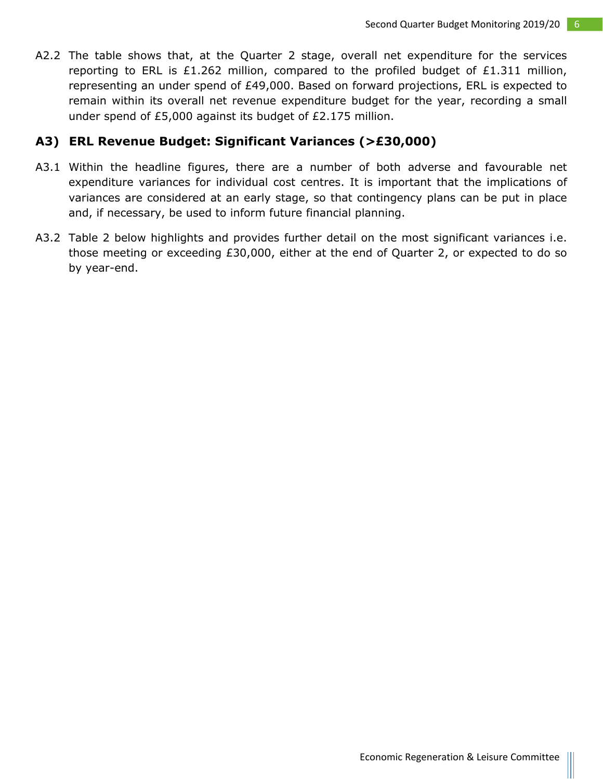A2.2 The table shows that, at the Quarter 2 stage, overall net expenditure for the services reporting to ERL is £1.262 million, compared to the profiled budget of  $£1.311$  million, representing an under spend of £49,000. Based on forward projections, ERL is expected to remain within its overall net revenue expenditure budget for the year, recording a small under spend of £5,000 against its budget of £2.175 million.

#### **A3) ERL Revenue Budget: Significant Variances (>£30,000)**

- A3.1 Within the headline figures, there are a number of both adverse and favourable net expenditure variances for individual cost centres. It is important that the implications of variances are considered at an early stage, so that contingency plans can be put in place and, if necessary, be used to inform future financial planning.
- A3.2 Table 2 below highlights and provides further detail on the most significant variances i.e. those meeting or exceeding £30,000, either at the end of Quarter 2, or expected to do so by year-end.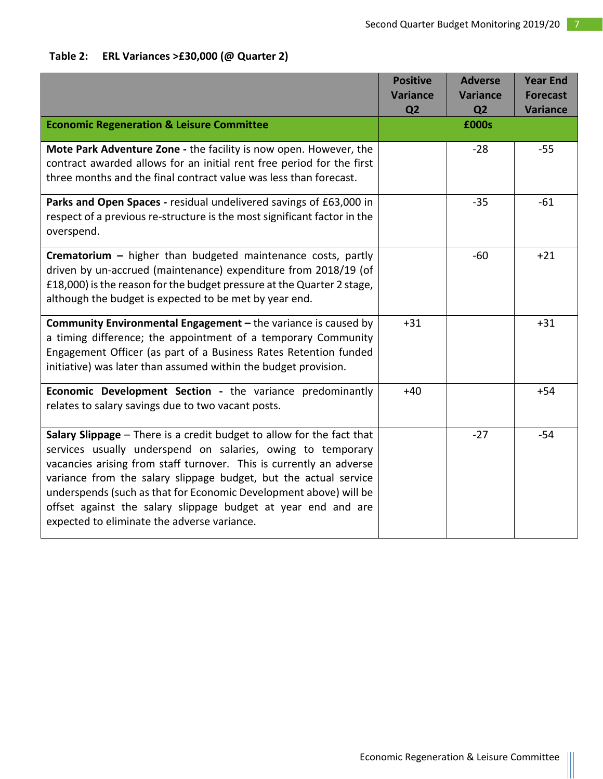#### **Table 2: ERL Variances >£30,000 (@ Quarter 2)**

|                                                                                                                                                                                                                                                                                                                                                                                                                                                                      | <b>Positive</b> | <b>Adverse</b>  | <b>Year End</b> |
|----------------------------------------------------------------------------------------------------------------------------------------------------------------------------------------------------------------------------------------------------------------------------------------------------------------------------------------------------------------------------------------------------------------------------------------------------------------------|-----------------|-----------------|-----------------|
|                                                                                                                                                                                                                                                                                                                                                                                                                                                                      | <b>Variance</b> | <b>Variance</b> | <b>Forecast</b> |
|                                                                                                                                                                                                                                                                                                                                                                                                                                                                      | Q <sub>2</sub>  | Q <sub>2</sub>  | <b>Variance</b> |
| <b>Economic Regeneration &amp; Leisure Committee</b>                                                                                                                                                                                                                                                                                                                                                                                                                 |                 | £000s           |                 |
| Mote Park Adventure Zone - the facility is now open. However, the<br>contract awarded allows for an initial rent free period for the first<br>three months and the final contract value was less than forecast.                                                                                                                                                                                                                                                      |                 | $-28$           | $-55$           |
| Parks and Open Spaces - residual undelivered savings of £63,000 in<br>respect of a previous re-structure is the most significant factor in the<br>overspend.                                                                                                                                                                                                                                                                                                         |                 | $-35$           | $-61$           |
| Crematorium - higher than budgeted maintenance costs, partly<br>driven by un-accrued (maintenance) expenditure from 2018/19 (of<br>£18,000) is the reason for the budget pressure at the Quarter 2 stage,<br>although the budget is expected to be met by year end.                                                                                                                                                                                                  |                 | $-60$           | $+21$           |
| Community Environmental Engagement - the variance is caused by<br>a timing difference; the appointment of a temporary Community<br>Engagement Officer (as part of a Business Rates Retention funded<br>initiative) was later than assumed within the budget provision.                                                                                                                                                                                               | $+31$           |                 | $+31$           |
| Economic Development Section - the variance predominantly<br>relates to salary savings due to two vacant posts.                                                                                                                                                                                                                                                                                                                                                      | $+40$           |                 | $+54$           |
| Salary Slippage - There is a credit budget to allow for the fact that<br>services usually underspend on salaries, owing to temporary<br>vacancies arising from staff turnover. This is currently an adverse<br>variance from the salary slippage budget, but the actual service<br>underspends (such as that for Economic Development above) will be<br>offset against the salary slippage budget at year end and are<br>expected to eliminate the adverse variance. |                 | $-27$           | $-54$           |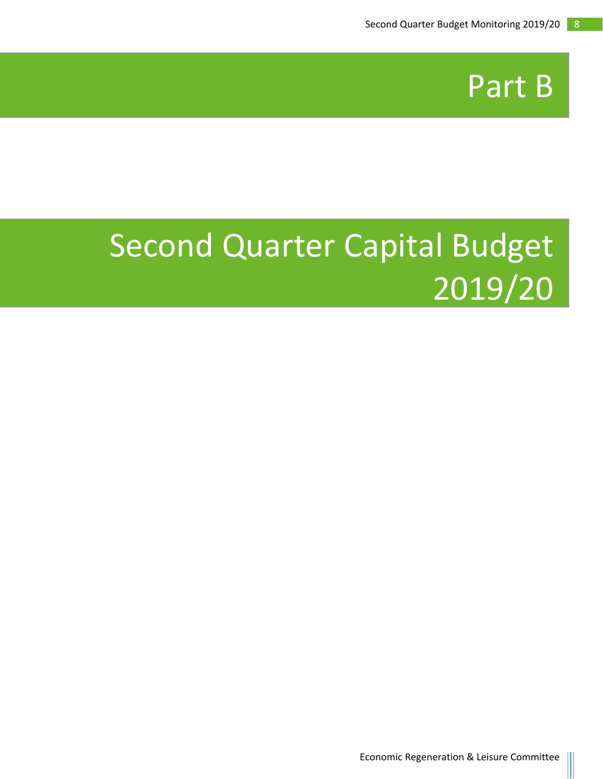

# Second Quarter Capital Budget 2019/20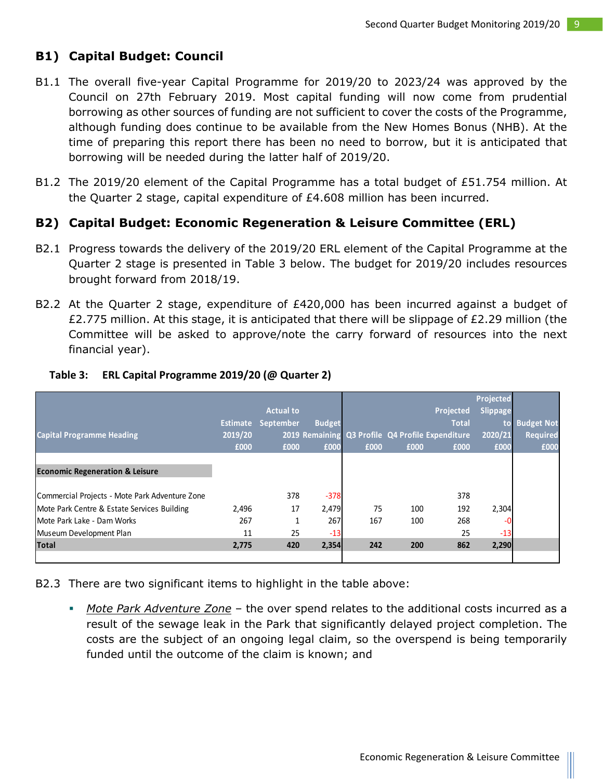#### **B1) Capital Budget: Council**

- B1.1 The overall five-year Capital Programme for 2019/20 to 2023/24 was approved by the Council on 27th February 2019. Most capital funding will now come from prudential borrowing as other sources of funding are not sufficient to cover the costs of the Programme, although funding does continue to be available from the New Homes Bonus (NHB). At the time of preparing this report there has been no need to borrow, but it is anticipated that borrowing will be needed during the latter half of 2019/20.
- B1.2 The 2019/20 element of the Capital Programme has a total budget of £51.754 million. At the Quarter 2 stage, capital expenditure of £4.608 million has been incurred.

#### **B2) Capital Budget: Economic Regeneration & Leisure Committee (ERL)**

- B2.1 Progress towards the delivery of the 2019/20 ERL element of the Capital Programme at the Quarter 2 stage is presented in Table 3 below. The budget for 2019/20 includes resources brought forward from 2018/19.
- B2.2 At the Quarter 2 stage, expenditure of £420,000 has been incurred against a budget of £2.775 million. At this stage, it is anticipated that there will be slippage of £2.29 million (the Committee will be asked to approve/note the carry forward of resources into the next financial year).

|                                                |         |                           |               |      |      |                                                  | Projected |                   |
|------------------------------------------------|---------|---------------------------|---------------|------|------|--------------------------------------------------|-----------|-------------------|
|                                                |         | <b>Actual to</b>          |               |      |      | Projected                                        | Slippage  |                   |
|                                                |         | <b>Estimate September</b> | <b>Budget</b> |      |      | <b>Total</b>                                     | to        | <b>Budget Not</b> |
| <b>Capital Programme Heading</b>               | 2019/20 |                           |               |      |      | 2019 Remaining Q3 Profile Q4 Profile Expenditure | 2020/21   | <b>Required</b>   |
|                                                | £000    | £000                      | £000          | £000 | £000 | £000                                             | £000      | £000              |
|                                                |         |                           |               |      |      |                                                  |           |                   |
| <b>Economic Regeneration &amp; Leisure</b>     |         |                           |               |      |      |                                                  |           |                   |
|                                                |         |                           |               |      |      |                                                  |           |                   |
| Commercial Projects - Mote Park Adventure Zone |         | 378                       | $-378$        |      |      | 378                                              |           |                   |
| Mote Park Centre & Estate Services Building    | 2,496   | 17                        | 2,479         | 75   | 100  | 192                                              | 2,304     |                   |
| Mote Park Lake - Dam Works                     | 267     |                           | 267           | 167  | 100  | 268                                              |           |                   |
| Museum Development Plan                        | 11      | 25                        | $-13$         |      |      | 25                                               | $-13$     |                   |
| Total                                          | 2,775   | 420                       | 2,354         | 242  | 200  | 862                                              | 2,290     |                   |
|                                                |         |                           |               |      |      |                                                  |           |                   |

#### **Table 3: ERL Capital Programme 2019/20 (@ Quarter 2)**

B2.3 There are two significant items to highlight in the table above:

 *Mote Park Adventure Zone* – the over spend relates to the additional costs incurred as a result of the sewage leak in the Park that significantly delayed project completion. The costs are the subject of an ongoing legal claim, so the overspend is being temporarily funded until the outcome of the claim is known; and